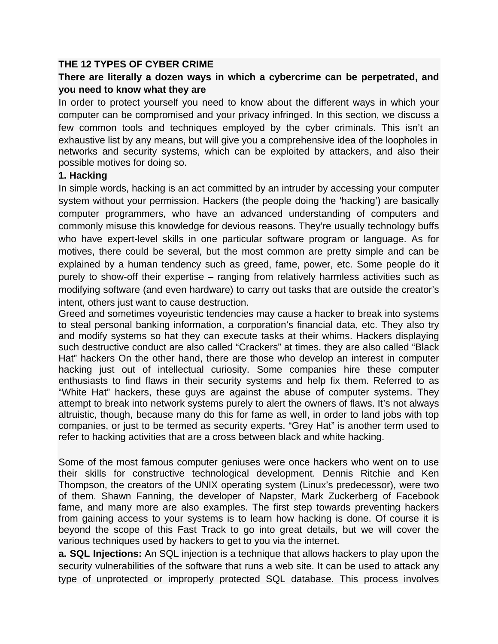## **THE 12 TYPES OF CYBER CRIME**

## **There are literally a dozen ways in which a cybercrime can be perpetrated, and you need to know what they are**

In order to protect yourself you need to know about the different ways in which your computer can be compromised and your privacy infringed. In this section, we discuss a few common tools and techniques employed by the cyber criminals. This isn't an exhaustive list by any means, but will give you a comprehensive idea of the loopholes in networks and security systems, which can be exploited by attackers, and also their possible motives for doing so.

#### **1. Hacking**

In simple words, hacking is an act committed by an intruder by accessing your computer system without your permission. Hackers (the people doing the 'hacking') are basically computer programmers, who have an advanced understanding of computers and commonly misuse this knowledge for devious reasons. They're usually technology buffs who have expert-level skills in one particular software program or language. As for motives, there could be several, but the most common are pretty simple and can be explained by a human tendency such as greed, fame, power, etc. Some people do it purely to show-off their expertise – ranging from relatively harmless activities such as modifying software (and even hardware) to carry out tasks that are outside the creator's intent, others just want to cause destruction.

Greed and sometimes voyeuristic tendencies may cause a hacker to break into systems to steal personal banking information, a corporation's financial data, etc. They also try and modify systems so hat they can execute tasks at their whims. Hackers displaying such destructive conduct are also called "Crackers" at times. they are also called "Black Hat" hackers On the other hand, there are those who develop an interest in computer hacking just out of intellectual curiosity. Some companies hire these computer enthusiasts to find flaws in their security systems and help fix them. Referred to as "White Hat" hackers, these guys are against the abuse of computer systems. They attempt to break into network systems purely to alert the owners of flaws. It's not always altruistic, though, because many do this for fame as well, in order to land jobs with top companies, or just to be termed as security experts. "Grey Hat" is another term used to refer to hacking activities that are a cross between black and white hacking.

Some of the most famous computer geniuses were once hackers who went on to use their skills for constructive technological development. Dennis Ritchie and Ken Thompson, the creators of the UNIX operating system (Linux's predecessor), were two of them. Shawn Fanning, the developer of Napster, Mark Zuckerberg of Facebook fame, and many more are also examples. The first step towards preventing hackers from gaining access to your systems is to learn how hacking is done. Of course it is beyond the scope of this Fast Track to go into great details, but we will cover the various techniques used by hackers to get to you via the internet.

**a. SQL Injections:** An SQL injection is a technique that allows hackers to play upon the security vulnerabilities of the software that runs a web site. It can be used to attack any type of unprotected or improperly protected SQL database. This process involves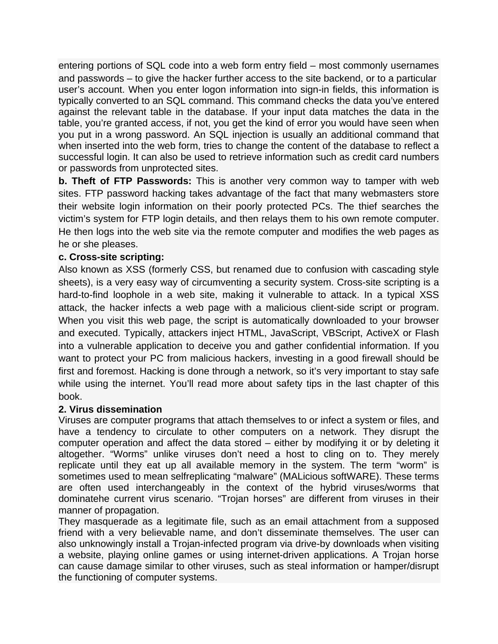entering portions of SQL code into a web form entry field – most commonly usernames and passwords – to give the hacker further access to the site backend, or to a particular user's account. When you enter logon information into sign-in fields, this information is typically converted to an SQL command. This command checks the data you've entered against the relevant table in the database. If your input data matches the data in the table, you're granted access, if not, you get the kind of error you would have seen when you put in a wrong password. An SQL injection is usually an additional command that when inserted into the web form, tries to change the content of the database to reflect a successful login. It can also be used to retrieve information such as credit card numbers or passwords from unprotected sites.

**b. Theft of FTP Passwords:** This is another very common way to tamper with web sites. FTP password hacking takes advantage of the fact that many webmasters store their website login information on their poorly protected PCs. The thief searches the victim's system for FTP login details, and then relays them to his own remote computer. He then logs into the web site via the remote computer and modifies the web pages as he or she pleases.

## **c. Cross-site scripting:**

Also known as XSS (formerly CSS, but renamed due to confusion with cascading style sheets), is a very easy way of circumventing a security system. Cross-site scripting is a hard-to-find loophole in a web site, making it vulnerable to attack. In a typical XSS attack, the hacker infects a web page with a malicious client-side script or program. When you visit this web page, the script is automatically downloaded to your browser and executed. Typically, attackers inject HTML, JavaScript, VBScript, ActiveX or Flash into a vulnerable application to deceive you and gather confidential information. If you want to protect your PC from malicious hackers, investing in a good firewall should be first and foremost. Hacking is done through a network, so it's very important to stay safe while using the internet. You'll read more about safety tips in the last chapter of this book.

### **2. Virus dissemination**

Viruses are computer programs that attach themselves to or infect a system or files, and have a tendency to circulate to other computers on a network. They disrupt the computer operation and affect the data stored – either by modifying it or by deleting it altogether. "Worms" unlike viruses don't need a host to cling on to. They merely replicate until they eat up all available memory in the system. The term "worm" is sometimes used to mean selfreplicating "malware" (MALicious softWARE). These terms are often used interchangeably in the context of the hybrid viruses/worms that dominatehe current virus scenario. "Trojan horses" are different from viruses in their manner of propagation.

They masquerade as a legitimate file, such as an email attachment from a supposed friend with a very believable name, and don't disseminate themselves. The user can also unknowingly install a Trojan-infected program via drive-by downloads when visiting a website, playing online games or using internet-driven applications. A Trojan horse can cause damage similar to other viruses, such as steal information or hamper/disrupt the functioning of computer systems.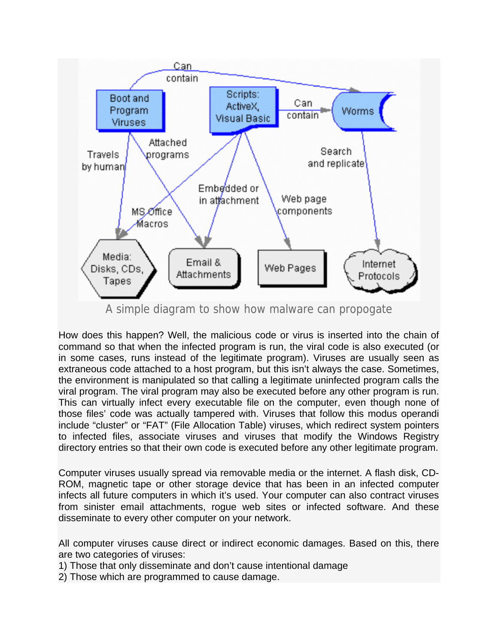

A simple diagram to show how malware can propogate

How does this happen? Well, the malicious code or virus is inserted into the chain of command so that when the infected program is run, the viral code is also executed (or in some cases, runs instead of the legitimate program). Viruses are usually seen as extraneous code attached to a host program, but this isn't always the case. Sometimes, the environment is manipulated so that calling a legitimate uninfected program calls the viral program. The viral program may also be executed before any other program is run. This can virtually infect every executable file on the computer, even though none of those files' code was actually tampered with. Viruses that follow this modus operandi include "cluster" or "FAT" (File Allocation Table) viruses, which redirect system pointers to infected files, associate viruses and viruses that modify the Windows Registry directory entries so that their own code is executed before any other legitimate program.

Computer viruses usually spread via removable media or the internet. A flash disk, CD-ROM, magnetic tape or other storage device that has been in an infected computer infects all future computers in which it's used. Your computer can also contract viruses from sinister email attachments, rogue web sites or infected software. And these disseminate to every other computer on your network.

All computer viruses cause direct or indirect economic damages. Based on this, there are two categories of viruses:

- 1) Those that only disseminate and don't cause intentional damage
- 2) Those which are programmed to cause damage.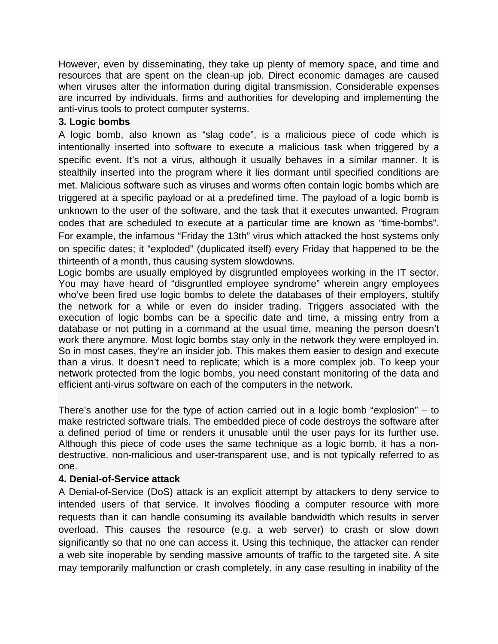However, even by disseminating, they take up plenty of memory space, and time and resources that are spent on the clean-up job. Direct economic damages are caused when viruses alter the information during digital transmission. Considerable expenses are incurred by individuals, firms and authorities for developing and implementing the anti-virus tools to protect computer systems.

## **3. Logic bombs**

A logic bomb, also known as "slag code", is a malicious piece of code which is intentionally inserted into software to execute a malicious task when triggered by a specific event. It's not a virus, although it usually behaves in a similar manner. It is stealthily inserted into the program where it lies dormant until specified conditions are met. Malicious software such as viruses and worms often contain logic bombs which are triggered at a specific payload or at a predefined time. The payload of a logic bomb is unknown to the user of the software, and the task that it executes unwanted. Program codes that are scheduled to execute at a particular time are known as "time-bombs". For example, the infamous "Friday the 13th" virus which attacked the host systems only on specific dates; it "exploded" (duplicated itself) every Friday that happened to be the thirteenth of a month, thus causing system slowdowns.

Logic bombs are usually employed by disgruntled employees working in the IT sector. You may have heard of "disgruntled employee syndrome" wherein angry employees who've been fired use logic bombs to delete the databases of their employers, stultify the network for a while or even do insider trading. Triggers associated with the execution of logic bombs can be a specific date and time, a missing entry from a database or not putting in a command at the usual time, meaning the person doesn't work there anymore. Most logic bombs stay only in the network they were employed in. So in most cases, they're an insider job. This makes them easier to design and execute than a virus. It doesn't need to replicate; which is a more complex job. To keep your network protected from the logic bombs, you need constant monitoring of the data and efficient anti-virus software on each of the computers in the network.

There's another use for the type of action carried out in a logic bomb "explosion" – to make restricted software trials. The embedded piece of code destroys the software after a defined period of time or renders it unusable until the user pays for its further use. Although this piece of code uses the same technique as a logic bomb, it has a nondestructive, non-malicious and user-transparent use, and is not typically referred to as one.

## **4. Denial-of-Service attack**

A Denial-of-Service (DoS) attack is an explicit attempt by attackers to deny service to intended users of that service. It involves flooding a computer resource with more requests than it can handle consuming its available bandwidth which results in server overload. This causes the resource (e.g. a web server) to crash or slow down significantly so that no one can access it. Using this technique, the attacker can render a web site inoperable by sending massive amounts of traffic to the targeted site. A site may temporarily malfunction or crash completely, in any case resulting in inability of the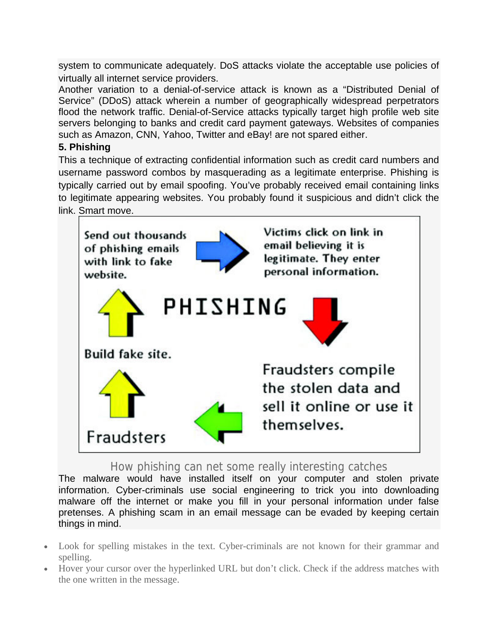system to communicate adequately. DoS attacks violate the acceptable use policies of virtually all internet service providers.

Another variation to a denial-of-service attack is known as a "Distributed Denial of Service" (DDoS) attack wherein a number of geographically widespread perpetrators flood the network traffic. Denial-of-Service attacks typically target high profile web site servers belonging to banks and credit card payment gateways. Websites of companies such as Amazon, CNN, Yahoo, Twitter and eBay! are not spared either.

## **5. Phishing**

This a technique of extracting confidential information such as credit card numbers and username password combos by masquerading as a legitimate enterprise. Phishing is typically carried out by email spoofing. You've probably received email containing links to legitimate appearing websites. You probably found it suspicious and didn't click the link. Smart move.



## How phishing can net some really interesting catches

The malware would have installed itself on your computer and stolen private information. Cyber-criminals use social engineering to trick you into downloading malware off the internet or make you fill in your personal information under false pretenses. A phishing scam in an email message can be evaded by keeping certain things in mind.

- Look for spelling mistakes in the text. Cyber-criminals are not known for their grammar and spelling.
- Hover your cursor over the hyperlinked URL but don't click. Check if the address matches with the one written in the message.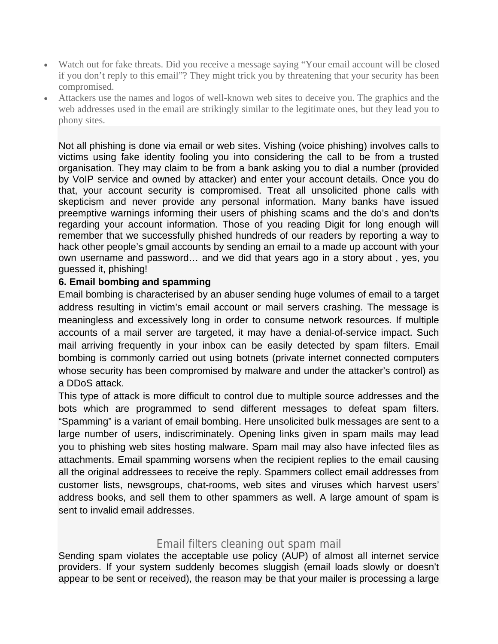- Watch out for fake threats. Did you receive a message saying "Your email account will be closed if you don't reply to this email"? They might trick you by threatening that your security has been compromised.
- Attackers use the names and logos of well-known web sites to deceive you. The graphics and the web addresses used in the email are strikingly similar to the legitimate ones, but they lead you to phony sites.

Not all phishing is done via email or web sites. Vishing (voice phishing) involves calls to victims using fake identity fooling you into considering the call to be from a trusted organisation. They may claim to be from a bank asking you to dial a number (provided by VoIP service and owned by attacker) and enter your account details. Once you do that, your account security is compromised. Treat all unsolicited phone calls with skepticism and never provide any personal information. Many banks have issued preemptive warnings informing their users of phishing scams and the do's and don'ts regarding your account information. Those of you reading Digit for long enough will remember that we successfully phished hundreds of our readers by reporting a way to hack other people's gmail accounts by sending an email to a made up account with your own username and password… and we did that years ago in a story about , yes, you guessed it, phishing!

### **6. Email bombing and spamming**

Email bombing is characterised by an abuser sending huge volumes of email to a target address resulting in victim's email account or mail servers crashing. The message is meaningless and excessively long in order to consume network resources. If multiple accounts of a mail server are targeted, it may have a denial-of-service impact. Such mail arriving frequently in your inbox can be easily detected by spam filters. Email bombing is commonly carried out using botnets (private internet connected computers whose security has been compromised by malware and under the attacker's control) as a DDoS attack.

This type of attack is more difficult to control due to multiple source addresses and the bots which are programmed to send different messages to defeat spam filters. "Spamming" is a variant of email bombing. Here unsolicited bulk messages are sent to a large number of users, indiscriminately. Opening links given in spam mails may lead you to phishing web sites hosting malware. Spam mail may also have infected files as attachments. Email spamming worsens when the recipient replies to the email causing all the original addressees to receive the reply. Spammers collect email addresses from customer lists, newsgroups, chat-rooms, web sites and viruses which harvest users' address books, and sell them to other spammers as well. A large amount of spam is sent to invalid email addresses.

## Email filters cleaning out spam mail

Sending spam violates the acceptable use policy (AUP) of almost all internet service providers. If your system suddenly becomes sluggish (email loads slowly or doesn't appear to be sent or received), the reason may be that your mailer is processing a large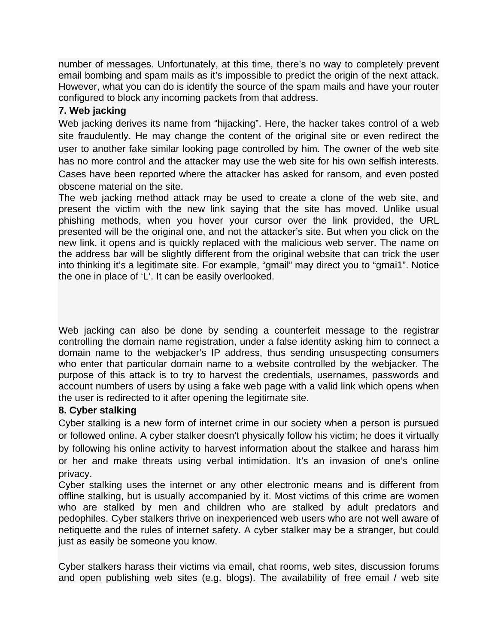number of messages. Unfortunately, at this time, there's no way to completely prevent email bombing and spam mails as it's impossible to predict the origin of the next attack. However, what you can do is identify the source of the spam mails and have your router configured to block any incoming packets from that address.

## **7. Web jacking**

Web jacking derives its name from "hijacking". Here, the hacker takes control of a web site fraudulently. He may change the content of the original site or even redirect the user to another fake similar looking page controlled by him. The owner of the web site has no more control and the attacker may use the web site for his own selfish interests. Cases have been reported where the attacker has asked for ransom, and even posted obscene material on the site.

The web jacking method attack may be used to create a clone of the web site, and present the victim with the new link saying that the site has moved. Unlike usual phishing methods, when you hover your cursor over the link provided, the URL presented will be the original one, and not the attacker's site. But when you click on the new link, it opens and is quickly replaced with the malicious web server. The name on the address bar will be slightly different from the original website that can trick the user into thinking it's a legitimate site. For example, "gmail" may direct you to "gmai1". Notice the one in place of 'L'. It can be easily overlooked.

Web jacking can also be done by sending a counterfeit message to the registrar controlling the domain name registration, under a false identity asking him to connect a domain name to the webjacker's IP address, thus sending unsuspecting consumers who enter that particular domain name to a website controlled by the webjacker. The purpose of this attack is to try to harvest the credentials, usernames, passwords and account numbers of users by using a fake web page with a valid link which opens when the user is redirected to it after opening the legitimate site.

## **8. Cyber stalking**

Cyber stalking is a new form of internet crime in our society when a person is pursued or followed online. A cyber stalker doesn't physically follow his victim; he does it virtually by following his online activity to harvest information about the stalkee and harass him or her and make threats using verbal intimidation. It's an invasion of one's online privacy.

Cyber stalking uses the internet or any other electronic means and is different from offline stalking, but is usually accompanied by it. Most victims of this crime are women who are stalked by men and children who are stalked by adult predators and pedophiles. Cyber stalkers thrive on inexperienced web users who are not well aware of netiquette and the rules of internet safety. A cyber stalker may be a stranger, but could just as easily be someone you know.

Cyber stalkers harass their victims via email, chat rooms, web sites, discussion forums and open publishing web sites (e.g. blogs). The availability of free email / web site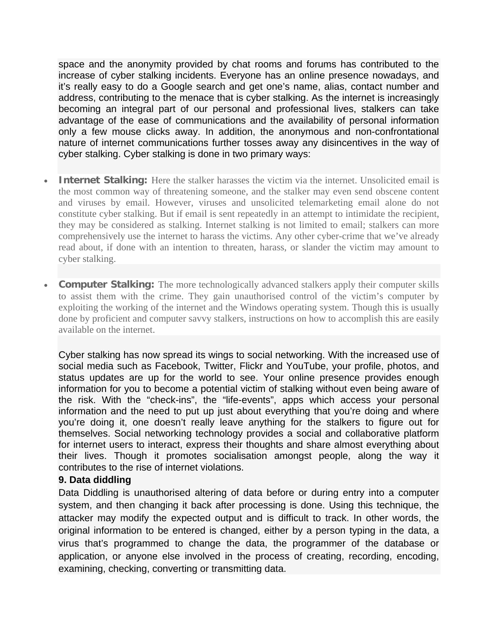space and the anonymity provided by chat rooms and forums has contributed to the increase of cyber stalking incidents. Everyone has an online presence nowadays, and it's really easy to do a Google search and get one's name, alias, contact number and address, contributing to the menace that is cyber stalking. As the internet is increasingly becoming an integral part of our personal and professional lives, stalkers can take advantage of the ease of communications and the availability of personal information only a few mouse clicks away. In addition, the anonymous and non-confrontational nature of internet communications further tosses away any disincentives in the way of cyber stalking. Cyber stalking is done in two primary ways:

- **Internet Stalking:** Here the stalker harasses the victim via the internet. Unsolicited email is the most common way of threatening someone, and the stalker may even send obscene content and viruses by email. However, viruses and unsolicited telemarketing email alone do not constitute cyber stalking. But if email is sent repeatedly in an attempt to intimidate the recipient, they may be considered as stalking. Internet stalking is not limited to email; stalkers can more comprehensively use the internet to harass the victims. Any other cyber-crime that we've already read about, if done with an intention to threaten, harass, or slander the victim may amount to cyber stalking.
- **Computer Stalking:** The more technologically advanced stalkers apply their computer skills to assist them with the crime. They gain unauthorised control of the victim's computer by exploiting the working of the internet and the Windows operating system. Though this is usually done by proficient and computer savvy stalkers, instructions on how to accomplish this are easily available on the internet.

Cyber stalking has now spread its wings to social networking. With the increased use of social media such as Facebook, Twitter, Flickr and YouTube, your profile, photos, and status updates are up for the world to see. Your online presence provides enough information for you to become a potential victim of stalking without even being aware of the risk. With the "check-ins", the "life-events", apps which access your personal information and the need to put up just about everything that you're doing and where you're doing it, one doesn't really leave anything for the stalkers to figure out for themselves. Social networking technology provides a social and collaborative platform for internet users to interact, express their thoughts and share almost everything about their lives. Though it promotes socialisation amongst people, along the way it contributes to the rise of internet violations.

### **9. Data diddling**

Data Diddling is unauthorised altering of data before or during entry into a computer system, and then changing it back after processing is done. Using this technique, the attacker may modify the expected output and is difficult to track. In other words, the original information to be entered is changed, either by a person typing in the data, a virus that's programmed to change the data, the programmer of the database or application, or anyone else involved in the process of creating, recording, encoding, examining, checking, converting or transmitting data.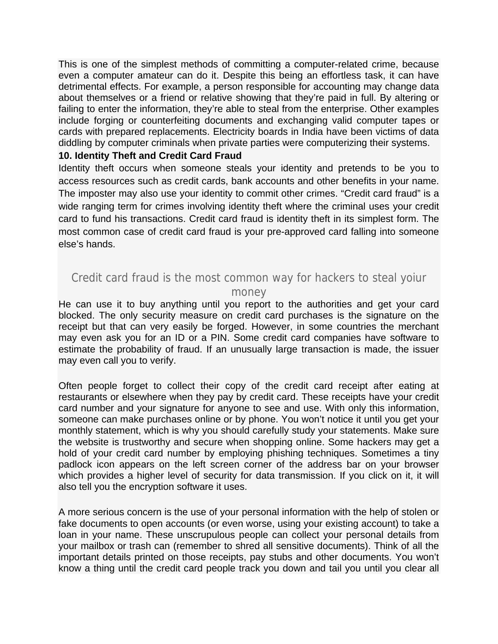This is one of the simplest methods of committing a computer-related crime, because even a computer amateur can do it. Despite this being an effortless task, it can have detrimental effects. For example, a person responsible for accounting may change data about themselves or a friend or relative showing that they're paid in full. By altering or failing to enter the information, they're able to steal from the enterprise. Other examples include forging or counterfeiting documents and exchanging valid computer tapes or cards with prepared replacements. Electricity boards in India have been victims of data diddling by computer criminals when private parties were computerizing their systems.

### **10. Identity Theft and Credit Card Fraud**

Identity theft occurs when someone steals your identity and pretends to be you to access resources such as credit cards, bank accounts and other benefits in your name. The imposter may also use your identity to commit other crimes. "Credit card fraud" is a wide ranging term for crimes involving identity theft where the criminal uses your credit card to fund his transactions. Credit card fraud is identity theft in its simplest form. The most common case of credit card fraud is your pre-approved card falling into someone else's hands.

## Credit card fraud is the most common way for hackers to steal yoiur

#### money

He can use it to buy anything until you report to the authorities and get your card blocked. The only security measure on credit card purchases is the signature on the receipt but that can very easily be forged. However, in some countries the merchant may even ask you for an ID or a PIN. Some credit card companies have software to estimate the probability of fraud. If an unusually large transaction is made, the issuer may even call you to verify.

Often people forget to collect their copy of the credit card receipt after eating at restaurants or elsewhere when they pay by credit card. These receipts have your credit card number and your signature for anyone to see and use. With only this information, someone can make purchases online or by phone. You won't notice it until you get your monthly statement, which is why you should carefully study your statements. Make sure the website is trustworthy and secure when shopping online. Some hackers may get a hold of your credit card number by employing phishing techniques. Sometimes a tiny padlock icon appears on the left screen corner of the address bar on your browser which provides a higher level of security for data transmission. If you click on it, it will also tell you the encryption software it uses.

A more serious concern is the use of your personal information with the help of stolen or fake documents to open accounts (or even worse, using your existing account) to take a loan in your name. These unscrupulous people can collect your personal details from your mailbox or trash can (remember to shred all sensitive documents). Think of all the important details printed on those receipts, pay stubs and other documents. You won't know a thing until the credit card people track you down and tail you until you clear all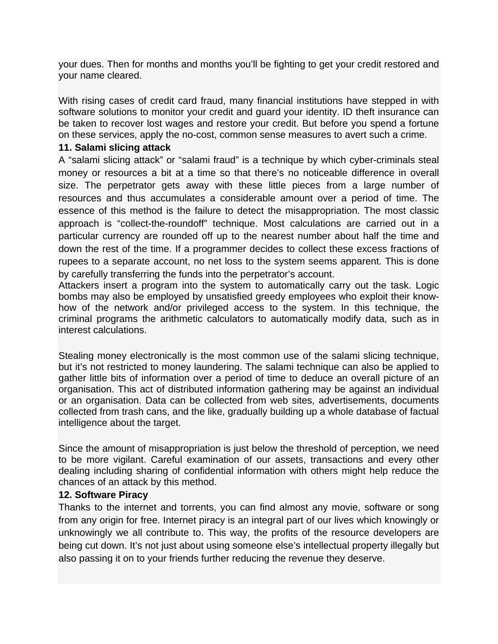your dues. Then for months and months you'll be fighting to get your credit restored and your name cleared.

With rising cases of credit card fraud, many financial institutions have stepped in with software solutions to monitor your credit and guard your identity. ID theft insurance can be taken to recover lost wages and restore your credit. But before you spend a fortune on these services, apply the no-cost, common sense measures to avert such a crime.

### **11. Salami slicing attack**

A "salami slicing attack" or "salami fraud" is a technique by which cyber-criminals steal money or resources a bit at a time so that there's no noticeable difference in overall size. The perpetrator gets away with these little pieces from a large number of resources and thus accumulates a considerable amount over a period of time. The essence of this method is the failure to detect the misappropriation. The most classic approach is "collect-the-roundoff" technique. Most calculations are carried out in a particular currency are rounded off up to the nearest number about half the time and down the rest of the time. If a programmer decides to collect these excess fractions of rupees to a separate account, no net loss to the system seems apparent. This is done by carefully transferring the funds into the perpetrator's account.

Attackers insert a program into the system to automatically carry out the task. Logic bombs may also be employed by unsatisfied greedy employees who exploit their knowhow of the network and/or privileged access to the system. In this technique, the criminal programs the arithmetic calculators to automatically modify data, such as in interest calculations.

Stealing money electronically is the most common use of the salami slicing technique, but it's not restricted to money laundering. The salami technique can also be applied to gather little bits of information over a period of time to deduce an overall picture of an organisation. This act of distributed information gathering may be against an individual or an organisation. Data can be collected from web sites, advertisements, documents collected from trash cans, and the like, gradually building up a whole database of factual intelligence about the target.

Since the amount of misappropriation is just below the threshold of perception, we need to be more vigilant. Careful examination of our assets, transactions and every other dealing including sharing of confidential information with others might help reduce the chances of an attack by this method.

### **12. Software Piracy**

Thanks to the internet and torrents, you can find almost any movie, software or song from any origin for free. Internet piracy is an integral part of our lives which knowingly or unknowingly we all contribute to. This way, the profits of the resource developers are being cut down. It's not just about using someone else's intellectual property illegally but also passing it on to your friends further reducing the revenue they deserve.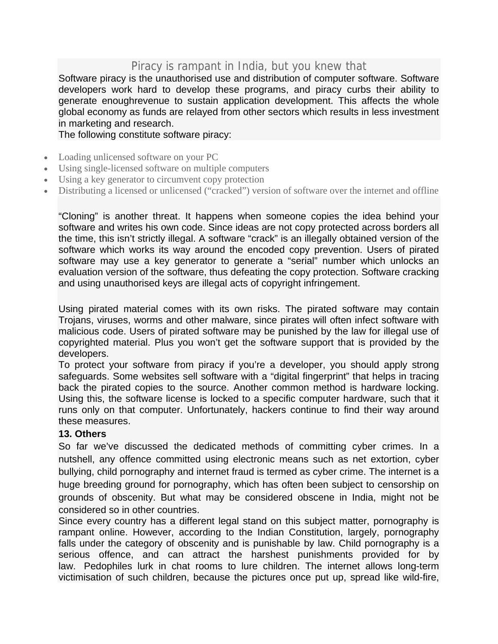# Piracy is rampant in India, but you knew that

Software piracy is the unauthorised use and distribution of computer software. Software developers work hard to develop these programs, and piracy curbs their ability to generate enoughrevenue to sustain application development. This affects the whole global economy as funds are relayed from other sectors which results in less investment in marketing and research.

The following constitute software piracy:

- Loading unlicensed software on your PC
- Using single-licensed software on multiple computers
- Using a key generator to circumvent copy protection
- Distributing a licensed or unlicensed ("cracked") version of software over the internet and offline

"Cloning" is another threat. It happens when someone copies the idea behind your software and writes his own code. Since ideas are not copy protected across borders all the time, this isn't strictly illegal. A software "crack" is an illegally obtained version of the software which works its way around the encoded copy prevention. Users of pirated software may use a key generator to generate a "serial" number which unlocks an evaluation version of the software, thus defeating the copy protection. Software cracking and using unauthorised keys are illegal acts of copyright infringement.

Using pirated material comes with its own risks. The pirated software may contain Trojans, viruses, worms and other malware, since pirates will often infect software with malicious code. Users of pirated software may be punished by the law for illegal use of copyrighted material. Plus you won't get the software support that is provided by the developers.

To protect your software from piracy if you're a developer, you should apply strong safeguards. Some websites sell software with a "digital fingerprint" that helps in tracing back the pirated copies to the source. Another common method is hardware locking. Using this, the software license is locked to a specific computer hardware, such that it runs only on that computer. Unfortunately, hackers continue to find their way around these measures.

### **13. Others**

So far we've discussed the dedicated methods of committing cyber crimes. In a nutshell, any offence committed using electronic means such as net extortion, cyber bullying, child pornography and internet fraud is termed as cyber crime. The internet is a huge breeding ground for pornography, which has often been subject to censorship on grounds of obscenity. But what may be considered obscene in India, might not be considered so in other countries.

Since every country has a different legal stand on this subject matter, pornography is rampant online. However, according to the Indian Constitution, largely, pornography falls under the category of obscenity and is punishable by law. Child pornography is a serious offence, and can attract the harshest punishments provided for by law. Pedophiles lurk in chat rooms to lure children. The internet allows long-term victimisation of such children, because the pictures once put up, spread like wild-fire,